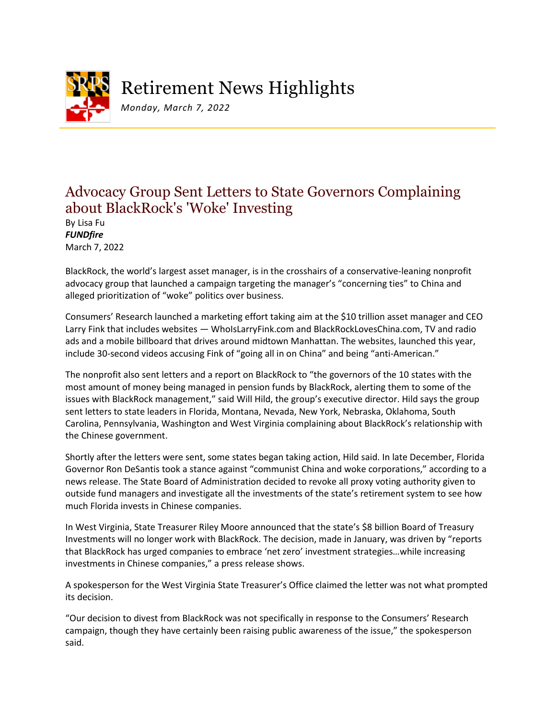

Retirement News Highlights

*Monday, March 7, 2022*

## Advocacy Group Sent Letters to State Governors Complaining about BlackRock's 'Woke' Investing

By Lisa Fu *FUNDfire* March 7, 2022

BlackRock, the world's largest asset manager, is in the crosshairs of a conservative-leaning nonprofit advocacy group that launched a campaign targeting the manager's "concerning ties" to China and alleged prioritization of "woke" politics over business.

Consumers' Research launched a marketing effort taking aim at the \$10 trillion asset manager and CEO Larry Fink that includes websites — WhoIsLarryFink.com and BlackRockLovesChina.com, TV and radio ads and a mobile billboard that drives around midtown Manhattan. The websites, launched this year, include 30-second videos accusing Fink of "going all in on China" and being "anti-American."

The nonprofit also sent letters and a report on BlackRock to "the governors of the 10 states with the most amount of money being managed in pension funds by BlackRock, alerting them to some of the issues with BlackRock management," said Will Hild, the group's executive director. Hild says the group sent letters to state leaders in Florida, Montana, Nevada, New York, Nebraska, Oklahoma, South Carolina, Pennsylvania, Washington and West Virginia complaining about BlackRock's relationship with the Chinese government.

Shortly after the letters were sent, some states began taking action, Hild said. In late December, Florida Governor Ron DeSantis took a stance against "communist China and woke corporations," according to a news release. The State Board of Administration decided to revoke all proxy voting authority given to outside fund managers and investigate all the investments of the state's retirement system to see how much Florida invests in Chinese companies.

In West Virginia, State Treasurer Riley Moore announced that the state's \$8 billion Board of Treasury Investments will no longer work with BlackRock. The decision, made in January, was driven by "reports that BlackRock has urged companies to embrace 'net zero' investment strategies…while increasing investments in Chinese companies," a press release shows.

A spokesperson for the West Virginia State Treasurer's Office claimed the letter was not what prompted its decision.

"Our decision to divest from BlackRock was not specifically in response to the Consumers' Research campaign, though they have certainly been raising public awareness of the issue," the spokesperson said.